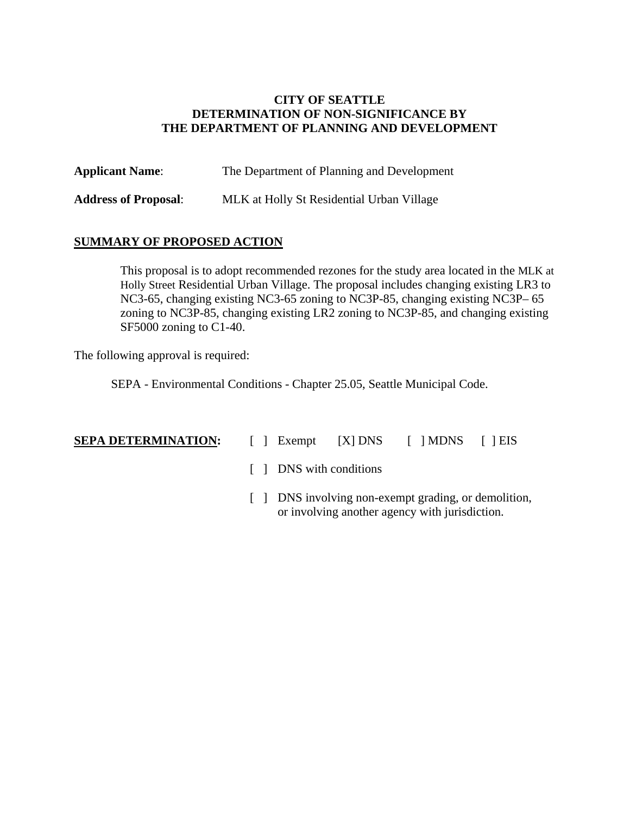#### **CITY OF SEATTLE DETERMINATION OF NON-SIGNIFICANCE BY THE DEPARTMENT OF PLANNING AND DEVELOPMENT**

| <b>Applicant Name:</b>      | The Department of Planning and Development |
|-----------------------------|--------------------------------------------|
| <b>Address of Proposal:</b> | MLK at Holly St Residential Urban Village  |

#### **SUMMARY OF PROPOSED ACTION**

This proposal is to adopt recommended rezones for the study area located in the MLK at Holly Street Residential Urban Village. The proposal includes changing existing LR3 to NC3-65, changing existing NC3-65 zoning to NC3P-85, changing existing NC3P– 65 zoning to NC3P-85, changing existing LR2 zoning to NC3P-85, and changing existing SF5000 zoning to C1-40.

The following approval is required:

SEPA - Environmental Conditions - Chapter 25.05, Seattle Municipal Code.

- **SEPA DETERMINATION:**  $\begin{bmatrix} \end{bmatrix}$  Exempt  $\begin{bmatrix} X \end{bmatrix}$  DNS  $\begin{bmatrix} \end{bmatrix}$  NDNS  $\begin{bmatrix} \end{bmatrix}$  EIS
	- [ ] DNS with conditions
	- [ ] DNS involving non-exempt grading, or demolition, or involving another agency with jurisdiction.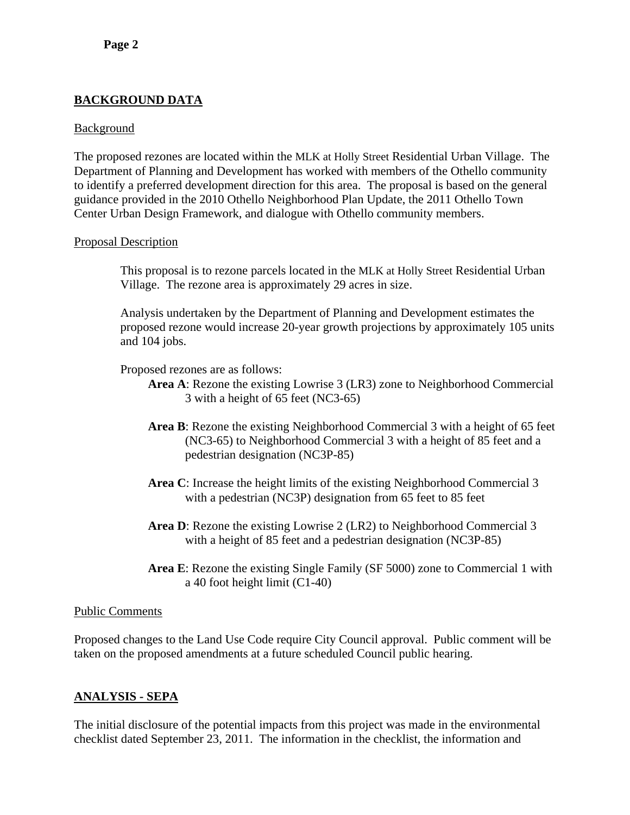# **BACKGROUND DATA**

#### **Background**

The proposed rezones are located within the MLK at Holly Street Residential Urban Village. The Department of Planning and Development has worked with members of the Othello community to identify a preferred development direction for this area. The proposal is based on the general guidance provided in the 2010 Othello Neighborhood Plan Update, the 2011 Othello Town Center Urban Design Framework, and dialogue with Othello community members.

#### Proposal Description

This proposal is to rezone parcels located in the MLK at Holly Street Residential Urban Village. The rezone area is approximately 29 acres in size.

Analysis undertaken by the Department of Planning and Development estimates the proposed rezone would increase 20-year growth projections by approximately 105 units and 104 jobs.

Proposed rezones are as follows:

- **Area A**: Rezone the existing Lowrise 3 (LR3) zone to Neighborhood Commercial 3 with a height of 65 feet (NC3-65)
- **Area B**: Rezone the existing Neighborhood Commercial 3 with a height of 65 feet (NC3-65) to Neighborhood Commercial 3 with a height of 85 feet and a pedestrian designation (NC3P-85)
- **Area C**: Increase the height limits of the existing Neighborhood Commercial 3 with a pedestrian (NC3P) designation from 65 feet to 85 feet
- **Area D**: Rezone the existing Lowrise 2 (LR2) to Neighborhood Commercial 3 with a height of 85 feet and a pedestrian designation (NC3P-85)
- **Area E**: Rezone the existing Single Family (SF 5000) zone to Commercial 1 with a 40 foot height limit (C1-40)

#### Public Comments

Proposed changes to the Land Use Code require City Council approval. Public comment will be taken on the proposed amendments at a future scheduled Council public hearing.

# **ANALYSIS - SEPA**

The initial disclosure of the potential impacts from this project was made in the environmental checklist dated September 23, 2011. The information in the checklist, the information and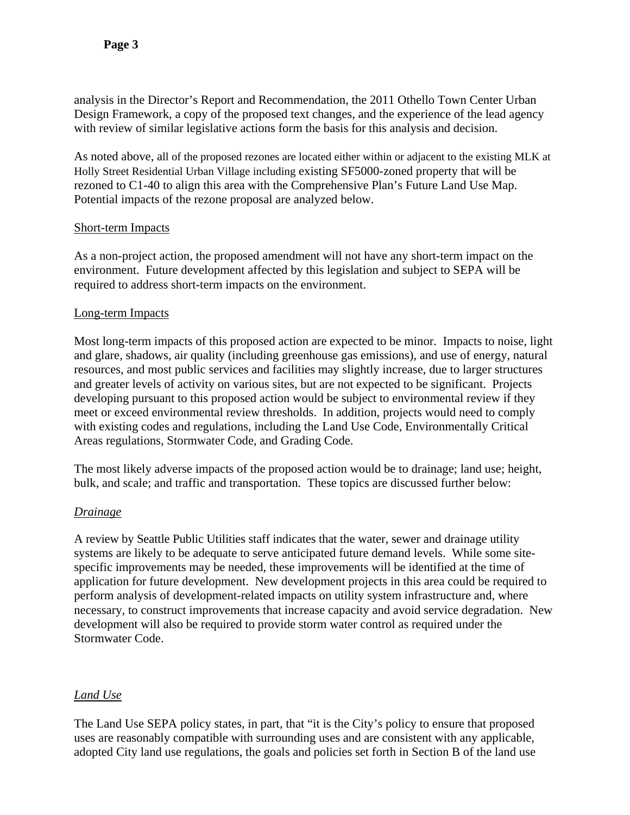analysis in the Director's Report and Recommendation, the 2011 Othello Town Center Urban Design Framework, a copy of the proposed text changes, and the experience of the lead agency with review of similar legislative actions form the basis for this analysis and decision.

As noted above, all of the proposed rezones are located either within or adjacent to the existing MLK at Holly Street Residential Urban Village including existing SF5000-zoned property that will be rezoned to C1-40 to align this area with the Comprehensive Plan's Future Land Use Map. Potential impacts of the rezone proposal are analyzed below.

## Short-term Impacts

As a non-project action, the proposed amendment will not have any short-term impact on the environment. Future development affected by this legislation and subject to SEPA will be required to address short-term impacts on the environment.

## Long-term Impacts

Most long-term impacts of this proposed action are expected to be minor. Impacts to noise, light and glare, shadows, air quality (including greenhouse gas emissions), and use of energy, natural resources, and most public services and facilities may slightly increase, due to larger structures and greater levels of activity on various sites, but are not expected to be significant. Projects developing pursuant to this proposed action would be subject to environmental review if they meet or exceed environmental review thresholds. In addition, projects would need to comply with existing codes and regulations, including the Land Use Code, Environmentally Critical Areas regulations, Stormwater Code, and Grading Code.

The most likely adverse impacts of the proposed action would be to drainage; land use; height, bulk, and scale; and traffic and transportation. These topics are discussed further below:

# *Drainage*

A review by Seattle Public Utilities staff indicates that the water, sewer and drainage utility systems are likely to be adequate to serve anticipated future demand levels. While some sitespecific improvements may be needed, these improvements will be identified at the time of application for future development. New development projects in this area could be required to perform analysis of development-related impacts on utility system infrastructure and, where necessary, to construct improvements that increase capacity and avoid service degradation. New development will also be required to provide storm water control as required under the Stormwater Code.

# *Land Use*

The Land Use SEPA policy states, in part, that "it is the City's policy to ensure that proposed uses are reasonably compatible with surrounding uses and are consistent with any applicable, adopted City land use regulations, the goals and policies set forth in Section B of the land use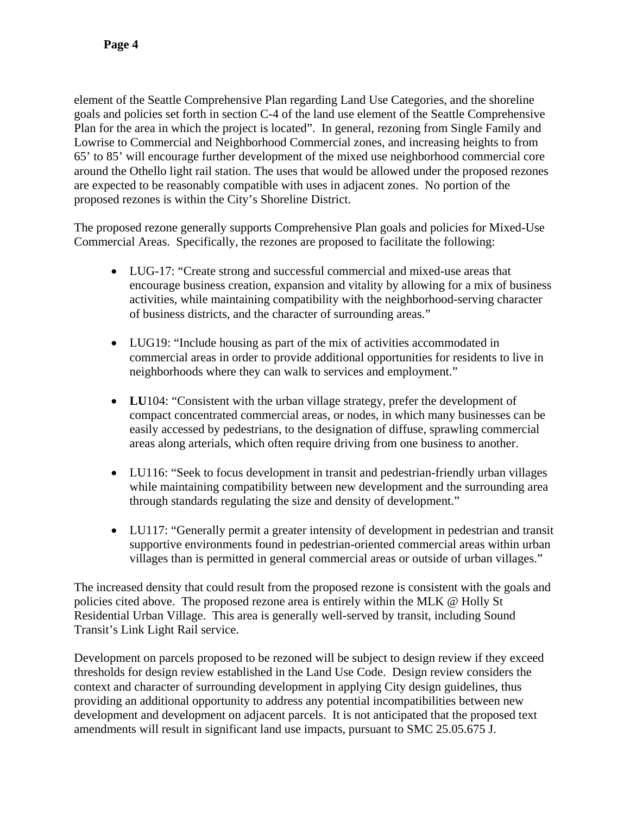element of the Seattle Comprehensive Plan regarding Land Use Categories, and the shoreline goals and policies set forth in section C-4 of the land use element of the Seattle Comprehensive Plan for the area in which the project is located". In general, rezoning from Single Family and Lowrise to Commercial and Neighborhood Commercial zones, and increasing heights to from 65' to 85' will encourage further development of the mixed use neighborhood commercial core around the Othello light rail station. The uses that would be allowed under the proposed rezones are expected to be reasonably compatible with uses in adjacent zones. No portion of the proposed rezones is within the City's Shoreline District.

The proposed rezone generally supports Comprehensive Plan goals and policies for Mixed-Use Commercial Areas. Specifically, the rezones are proposed to facilitate the following:

- LUG-17: "Create strong and successful commercial and mixed-use areas that encourage business creation, expansion and vitality by allowing for a mix of business activities, while maintaining compatibility with the neighborhood-serving character of business districts, and the character of surrounding areas."
- LUG19: "Include housing as part of the mix of activities accommodated in commercial areas in order to provide additional opportunities for residents to live in neighborhoods where they can walk to services and employment."
- **LU**104: "Consistent with the urban village strategy, prefer the development of compact concentrated commercial areas, or nodes, in which many businesses can be easily accessed by pedestrians, to the designation of diffuse, sprawling commercial areas along arterials, which often require driving from one business to another.
- LU116: "Seek to focus development in transit and pedestrian-friendly urban villages while maintaining compatibility between new development and the surrounding area through standards regulating the size and density of development."
- LU117: "Generally permit a greater intensity of development in pedestrian and transit supportive environments found in pedestrian-oriented commercial areas within urban villages than is permitted in general commercial areas or outside of urban villages."

The increased density that could result from the proposed rezone is consistent with the goals and policies cited above. The proposed rezone area is entirely within the MLK @ Holly St Residential Urban Village. This area is generally well-served by transit, including Sound Transit's Link Light Rail service.

Development on parcels proposed to be rezoned will be subject to design review if they exceed thresholds for design review established in the Land Use Code. Design review considers the context and character of surrounding development in applying City design guidelines, thus providing an additional opportunity to address any potential incompatibilities between new development and development on adjacent parcels. It is not anticipated that the proposed text amendments will result in significant land use impacts, pursuant to SMC 25.05.675 J.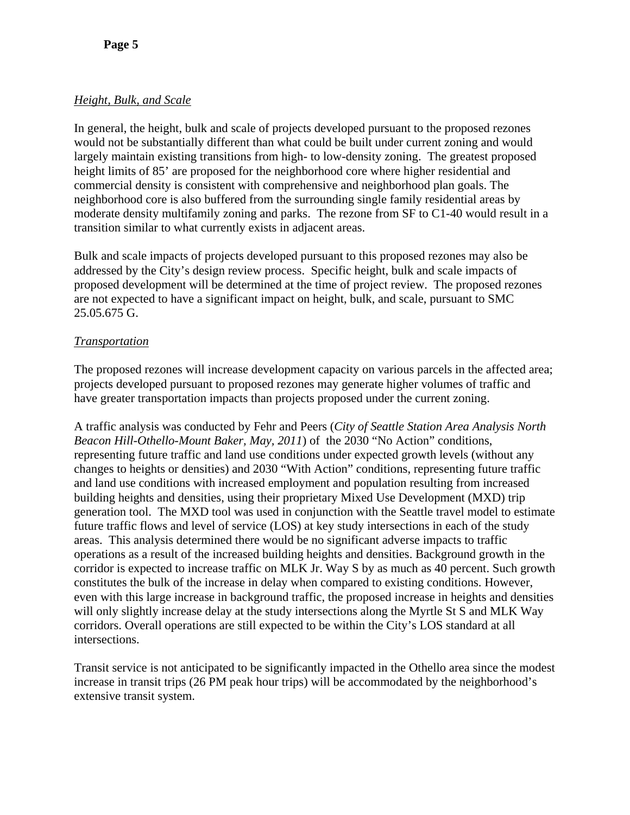## *Height, Bulk, and Scale*

In general, the height, bulk and scale of projects developed pursuant to the proposed rezones would not be substantially different than what could be built under current zoning and would largely maintain existing transitions from high- to low-density zoning. The greatest proposed height limits of 85' are proposed for the neighborhood core where higher residential and commercial density is consistent with comprehensive and neighborhood plan goals. The neighborhood core is also buffered from the surrounding single family residential areas by moderate density multifamily zoning and parks. The rezone from SF to C1-40 would result in a transition similar to what currently exists in adjacent areas.

Bulk and scale impacts of projects developed pursuant to this proposed rezones may also be addressed by the City's design review process. Specific height, bulk and scale impacts of proposed development will be determined at the time of project review. The proposed rezones are not expected to have a significant impact on height, bulk, and scale, pursuant to SMC 25.05.675 G.

# *Transportation*

The proposed rezones will increase development capacity on various parcels in the affected area; projects developed pursuant to proposed rezones may generate higher volumes of traffic and have greater transportation impacts than projects proposed under the current zoning.

A traffic analysis was conducted by Fehr and Peers (*City of Seattle Station Area Analysis North Beacon Hill-Othello-Mount Baker, May, 2011*) of the 2030 "No Action" conditions, representing future traffic and land use conditions under expected growth levels (without any changes to heights or densities) and 2030 "With Action" conditions, representing future traffic and land use conditions with increased employment and population resulting from increased building heights and densities, using their proprietary Mixed Use Development (MXD) trip generation tool. The MXD tool was used in conjunction with the Seattle travel model to estimate future traffic flows and level of service (LOS) at key study intersections in each of the study areas. This analysis determined there would be no significant adverse impacts to traffic operations as a result of the increased building heights and densities. Background growth in the corridor is expected to increase traffic on MLK Jr. Way S by as much as 40 percent. Such growth constitutes the bulk of the increase in delay when compared to existing conditions. However, even with this large increase in background traffic, the proposed increase in heights and densities will only slightly increase delay at the study intersections along the Myrtle St S and MLK Way corridors. Overall operations are still expected to be within the City's LOS standard at all intersections.

Transit service is not anticipated to be significantly impacted in the Othello area since the modest increase in transit trips (26 PM peak hour trips) will be accommodated by the neighborhood's extensive transit system.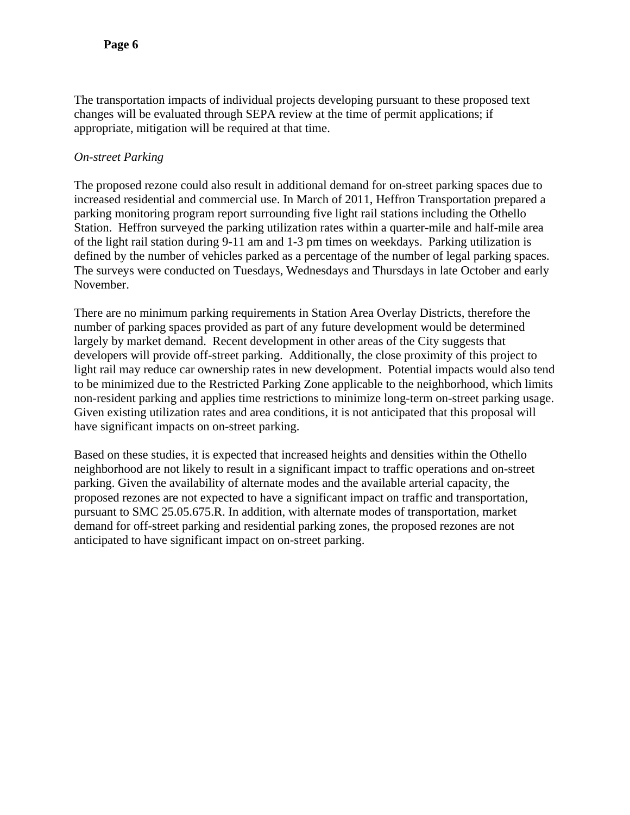The transportation impacts of individual projects developing pursuant to these proposed text changes will be evaluated through SEPA review at the time of permit applications; if appropriate, mitigation will be required at that time.

## *On-street Parking*

The proposed rezone could also result in additional demand for on-street parking spaces due to increased residential and commercial use. In March of 2011, Heffron Transportation prepared a parking monitoring program report surrounding five light rail stations including the Othello Station. Heffron surveyed the parking utilization rates within a quarter-mile and half-mile area of the light rail station during 9-11 am and 1-3 pm times on weekdays. Parking utilization is defined by the number of vehicles parked as a percentage of the number of legal parking spaces. The surveys were conducted on Tuesdays, Wednesdays and Thursdays in late October and early November.

There are no minimum parking requirements in Station Area Overlay Districts, therefore the number of parking spaces provided as part of any future development would be determined largely by market demand. Recent development in other areas of the City suggests that developers will provide off-street parking. Additionally, the close proximity of this project to light rail may reduce car ownership rates in new development. Potential impacts would also tend to be minimized due to the Restricted Parking Zone applicable to the neighborhood, which limits non-resident parking and applies time restrictions to minimize long-term on-street parking usage. Given existing utilization rates and area conditions, it is not anticipated that this proposal will have significant impacts on on-street parking.

Based on these studies, it is expected that increased heights and densities within the Othello neighborhood are not likely to result in a significant impact to traffic operations and on-street parking. Given the availability of alternate modes and the available arterial capacity, the proposed rezones are not expected to have a significant impact on traffic and transportation, pursuant to SMC 25.05.675.R. In addition, with alternate modes of transportation, market demand for off-street parking and residential parking zones, the proposed rezones are not anticipated to have significant impact on on-street parking.